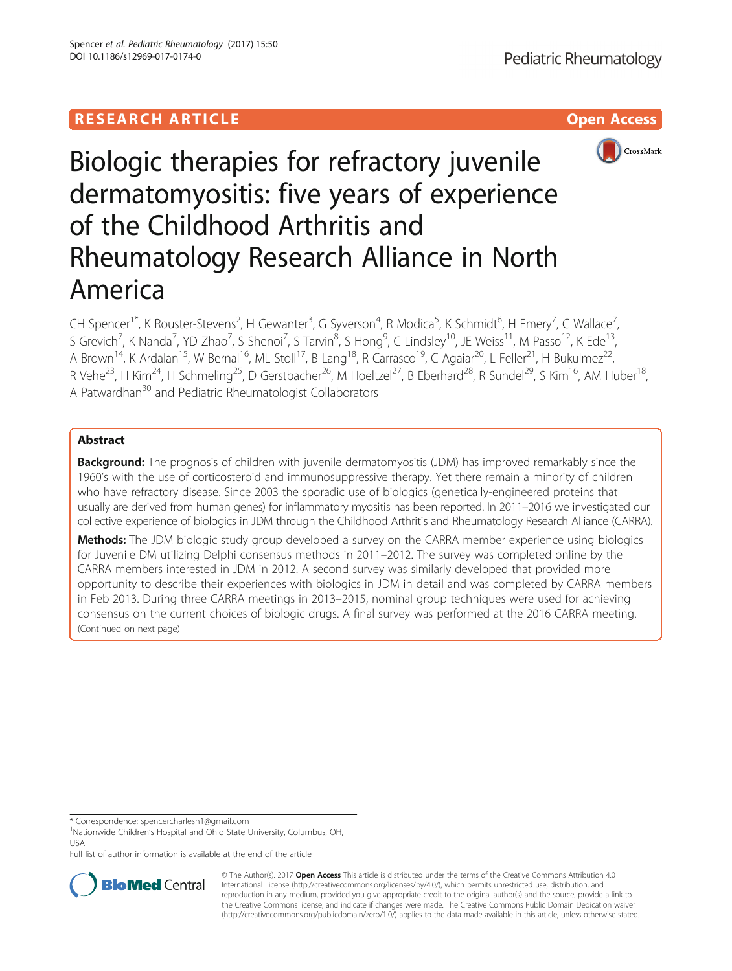## **RESEARCH ARTICLE Example 2018 12:30 THE OPEN ACCESS**



# Biologic therapies for refractory juvenile dermatomyositis: five years of experience of the Childhood Arthritis and Rheumatology Research Alliance in North America

CH Spencer<sup>1\*</sup>, K Rouster-Stevens<sup>2</sup>, H Gewanter<sup>3</sup>, G Syverson<sup>4</sup>, R Modica<sup>5</sup>, K Schmidt<sup>6</sup>, H Emery<sup>7</sup>, C Wallace<sup>7</sup> , S Grevich<sup>7</sup>, K Nanda<sup>7</sup>, YD Zhao<sup>7</sup>, S Shenoi<sup>7</sup>, S Tarvin<sup>8</sup>, S Hong<sup>9</sup>, C Lindsley<sup>10</sup>, JE Weiss<sup>11</sup>, M Passo<sup>12</sup>, K Ede<sup>13</sup>, A Brown<sup>14</sup>, K Ardalan<sup>15</sup>, W Bernal<sup>16</sup>, ML Stoll<sup>17</sup>, B Lang<sup>18</sup>, R Carrasco<sup>19</sup>, C Agaiar<sup>20</sup>, L Feller<sup>21</sup>, H Bukulmez<sup>22</sup>, R Vehe<sup>23</sup>, H Kim<sup>24</sup>, H Schmeling<sup>25</sup>, D Gerstbacher<sup>26</sup>, M Hoeltzel<sup>27</sup>, B Eberhard<sup>28</sup>, R Sundel<sup>29</sup>, S Kim<sup>16</sup>, AM Huber<sup>18</sup>, A Patwardhan<sup>30</sup> and Pediatric Rheumatologist Collaborators

## Abstract

**Background:** The prognosis of children with juvenile dermatomyositis (JDM) has improved remarkably since the 1960's with the use of corticosteroid and immunosuppressive therapy. Yet there remain a minority of children who have refractory disease. Since 2003 the sporadic use of biologics (genetically-engineered proteins that usually are derived from human genes) for inflammatory myositis has been reported. In 2011–2016 we investigated our collective experience of biologics in JDM through the Childhood Arthritis and Rheumatology Research Alliance (CARRA).

**Methods:** The JDM biologic study group developed a survey on the CARRA member experience using biologics for Juvenile DM utilizing Delphi consensus methods in 2011–2012. The survey was completed online by the CARRA members interested in JDM in 2012. A second survey was similarly developed that provided more opportunity to describe their experiences with biologics in JDM in detail and was completed by CARRA members in Feb 2013. During three CARRA meetings in 2013–2015, nominal group techniques were used for achieving consensus on the current choices of biologic drugs. A final survey was performed at the 2016 CARRA meeting. (Continued on next page)

Full list of author information is available at the end of the article



© The Author(s). 2017 **Open Access** This article is distributed under the terms of the Creative Commons Attribution 4.0 International License [\(http://creativecommons.org/licenses/by/4.0/](http://creativecommons.org/licenses/by/4.0/)), which permits unrestricted use, distribution, and reproduction in any medium, provided you give appropriate credit to the original author(s) and the source, provide a link to the Creative Commons license, and indicate if changes were made. The Creative Commons Public Domain Dedication waiver [\(http://creativecommons.org/publicdomain/zero/1.0/](http://creativecommons.org/publicdomain/zero/1.0/)) applies to the data made available in this article, unless otherwise stated.

<sup>\*</sup> Correspondence: [spencercharlesh1@gmail.com](mailto:spencercharlesh1@gmail.com) <sup>1</sup>

<sup>&</sup>lt;sup>1</sup>Nationwide Children's Hospital and Ohio State University, Columbus, OH, USA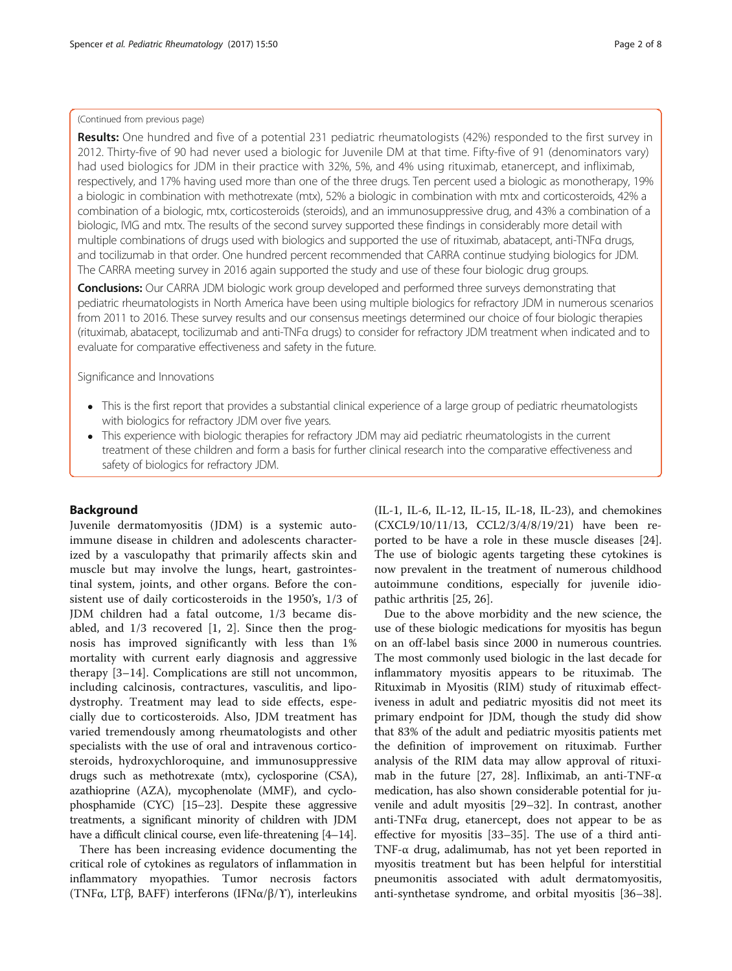## (Continued from previous page)

Results: One hundred and five of a potential 231 pediatric rheumatologists (42%) responded to the first survey in 2012. Thirty-five of 90 had never used a biologic for Juvenile DM at that time. Fifty-five of 91 (denominators vary) had used biologics for JDM in their practice with 32%, 5%, and 4% using rituximab, etanercept, and infliximab, respectively, and 17% having used more than one of the three drugs. Ten percent used a biologic as monotherapy, 19% a biologic in combination with methotrexate (mtx), 52% a biologic in combination with mtx and corticosteroids, 42% a combination of a biologic, mtx, corticosteroids (steroids), and an immunosuppressive drug, and 43% a combination of a biologic, IVIG and mtx. The results of the second survey supported these findings in considerably more detail with multiple combinations of drugs used with biologics and supported the use of rituximab, abatacept, anti-TNFα drugs, and tocilizumab in that order. One hundred percent recommended that CARRA continue studying biologics for JDM. The CARRA meeting survey in 2016 again supported the study and use of these four biologic drug groups.

**Conclusions:** Our CARRA JDM biologic work group developed and performed three surveys demonstrating that pediatric rheumatologists in North America have been using multiple biologics for refractory JDM in numerous scenarios from 2011 to 2016. These survey results and our consensus meetings determined our choice of four biologic therapies (rituximab, abatacept, tocilizumab and anti-TNFα drugs) to consider for refractory JDM treatment when indicated and to evaluate for comparative effectiveness and safety in the future.

## Significance and Innovations

- This is the first report that provides a substantial clinical experience of a large group of pediatric rheumatologists with biologics for refractory JDM over five years.
- This experience with biologic therapies for refractory JDM may aid pediatric rheumatologists in the current treatment of these children and form a basis for further clinical research into the comparative effectiveness and safety of biologics for refractory JDM.

## Background

Juvenile dermatomyositis (JDM) is a systemic autoimmune disease in children and adolescents characterized by a vasculopathy that primarily affects skin and muscle but may involve the lungs, heart, gastrointestinal system, joints, and other organs. Before the consistent use of daily corticosteroids in the 1950's, 1/3 of JDM children had a fatal outcome, 1/3 became disabled, and 1/3 recovered [[1, 2\]](#page-6-0). Since then the prognosis has improved significantly with less than 1% mortality with current early diagnosis and aggressive therapy [[3](#page-6-0)–[14\]](#page-7-0). Complications are still not uncommon, including calcinosis, contractures, vasculitis, and lipodystrophy. Treatment may lead to side effects, especially due to corticosteroids. Also, JDM treatment has varied tremendously among rheumatologists and other specialists with the use of oral and intravenous corticosteroids, hydroxychloroquine, and immunosuppressive drugs such as methotrexate (mtx), cyclosporine (CSA), azathioprine (AZA), mycophenolate (MMF), and cyclophosphamide (CYC) [\[15](#page-7-0)–[23](#page-7-0)]. Despite these aggressive treatments, a significant minority of children with JDM have a difficult clinical course, even life-threatening [[4](#page-6-0)–[14\]](#page-7-0).

There has been increasing evidence documenting the critical role of cytokines as regulators of inflammation in inflammatory myopathies. Tumor necrosis factors (TNFα, LTβ, BAFF) interferons (IFNα/β/ϒ), interleukins

(IL-1, IL-6, IL-12, IL-15, IL-18, IL-23), and chemokines (CXCL9/10/11/13, CCL2/3/4/8/19/21) have been reported to be have a role in these muscle diseases [\[24](#page-7-0)]. The use of biologic agents targeting these cytokines is now prevalent in the treatment of numerous childhood autoimmune conditions, especially for juvenile idiopathic arthritis [\[25, 26\]](#page-7-0).

Due to the above morbidity and the new science, the use of these biologic medications for myositis has begun on an off-label basis since 2000 in numerous countries. The most commonly used biologic in the last decade for inflammatory myositis appears to be rituximab. The Rituximab in Myositis (RIM) study of rituximab effectiveness in adult and pediatric myositis did not meet its primary endpoint for JDM, though the study did show that 83% of the adult and pediatric myositis patients met the definition of improvement on rituximab. Further analysis of the RIM data may allow approval of rituxi-mab in the future [\[27, 28\]](#page-7-0). Infliximab, an anti-TNF- $\alpha$ medication, has also shown considerable potential for juvenile and adult myositis [[29](#page-7-0)–[32](#page-7-0)]. In contrast, another anti-TNFα drug, etanercept, does not appear to be as effective for myositis [\[33](#page-7-0)–[35\]](#page-7-0). The use of a third anti-TNF-α drug, adalimumab, has not yet been reported in myositis treatment but has been helpful for interstitial pneumonitis associated with adult dermatomyositis, anti-synthetase syndrome, and orbital myositis [[36](#page-7-0)–[38](#page-7-0)].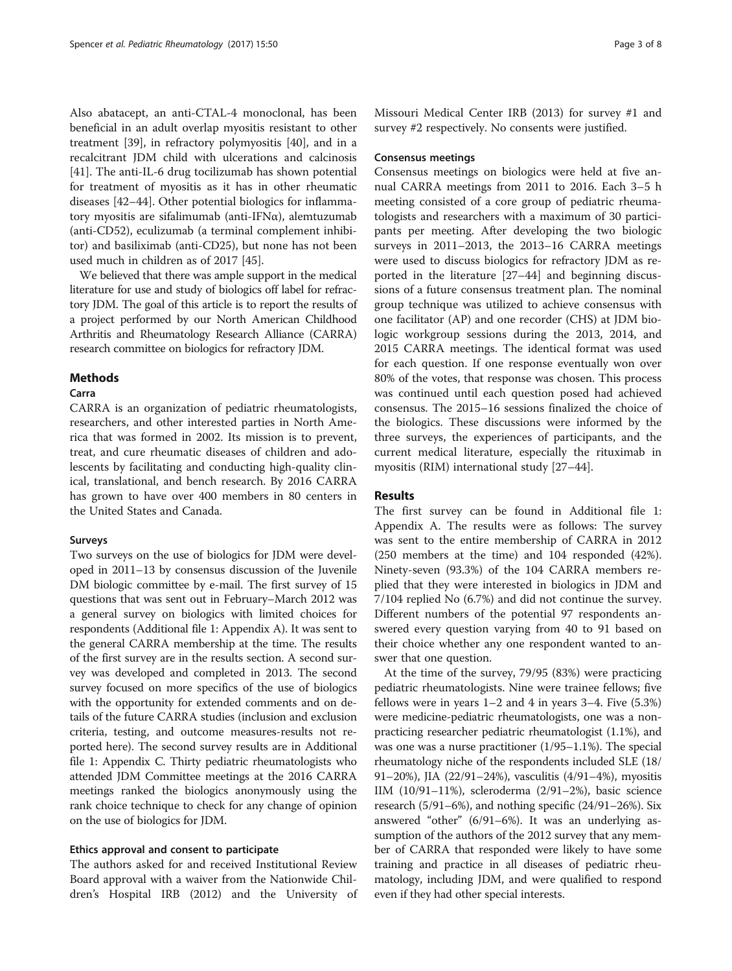Also abatacept, an anti-CTAL-4 monoclonal, has been beneficial in an adult overlap myositis resistant to other treatment [[39\]](#page-7-0), in refractory polymyositis [\[40](#page-7-0)], and in a recalcitrant JDM child with ulcerations and calcinosis [[41\]](#page-7-0). The anti-IL-6 drug tocilizumab has shown potential for treatment of myositis as it has in other rheumatic diseases [\[42](#page-7-0)–[44\]](#page-7-0). Other potential biologics for inflammatory myositis are sifalimumab (anti-IFNα), alemtuzumab (anti-CD52), eculizumab (a terminal [complement](https://en.wikipedia.org/wiki/Complement_system) inhibitor) and basiliximab (anti-CD25), but none has not been used much in children as of 2017 [[45\]](#page-7-0).

We believed that there was ample support in the medical literature for use and study of biologics off label for refractory JDM. The goal of this article is to report the results of a project performed by our North American Childhood Arthritis and Rheumatology Research Alliance (CARRA) research committee on biologics for refractory JDM.

## Methods

## Carra

CARRA is an organization of pediatric rheumatologists, researchers, and other interested parties in North America that was formed in 2002. Its mission is to prevent, treat, and cure rheumatic diseases of children and adolescents by facilitating and conducting high-quality clinical, translational, and bench research. By 2016 CARRA has grown to have over 400 members in 80 centers in the United States and Canada.

## Surveys

Two surveys on the use of biologics for JDM were developed in 2011–13 by consensus discussion of the Juvenile DM biologic committee by e-mail. The first survey of 15 questions that was sent out in February–March 2012 was a general survey on biologics with limited choices for respondents (Additional file [1:](#page-6-0) Appendix A). It was sent to the general CARRA membership at the time. The results of the first survey are in the results section. A second survey was developed and completed in 2013. The second survey focused on more specifics of the use of biologics with the opportunity for extended comments and on details of the future CARRA studies (inclusion and exclusion criteria, testing, and outcome measures-results not reported here). The second survey results are in Additional file [1](#page-6-0): Appendix C. Thirty pediatric rheumatologists who attended JDM Committee meetings at the 2016 CARRA meetings ranked the biologics anonymously using the rank choice technique to check for any change of opinion on the use of biologics for JDM.

## Ethics approval and consent to participate

The authors asked for and received Institutional Review Board approval with a waiver from the Nationwide Children's Hospital IRB (2012) and the University of

Missouri Medical Center IRB (2013) for survey #1 and survey #2 respectively. No consents were justified.

## Consensus meetings

Consensus meetings on biologics were held at five annual CARRA meetings from 2011 to 2016. Each 3–5 h meeting consisted of a core group of pediatric rheumatologists and researchers with a maximum of 30 participants per meeting. After developing the two biologic surveys in 2011–2013, the 2013–16 CARRA meetings were used to discuss biologics for refractory JDM as reported in the literature [[27](#page-7-0)–[44](#page-7-0)] and beginning discussions of a future consensus treatment plan. The nominal group technique was utilized to achieve consensus with one facilitator (AP) and one recorder (CHS) at JDM biologic workgroup sessions during the 2013, 2014, and 2015 CARRA meetings. The identical format was used for each question. If one response eventually won over 80% of the votes, that response was chosen. This process was continued until each question posed had achieved consensus. The 2015–16 sessions finalized the choice of the biologics. These discussions were informed by the three surveys, the experiences of participants, and the current medical literature, especially the rituximab in myositis (RIM) international study [\[27](#page-7-0)–[44\]](#page-7-0).

## Results

The first survey can be found in Additional file [1](#page-6-0): Appendix A. The results were as follows: The survey was sent to the entire membership of CARRA in 2012 (250 members at the time) and 104 responded (42%). Ninety-seven (93.3%) of the 104 CARRA members replied that they were interested in biologics in JDM and 7/104 replied No (6.7%) and did not continue the survey. Different numbers of the potential 97 respondents answered every question varying from 40 to 91 based on their choice whether any one respondent wanted to answer that one question.

At the time of the survey, 79/95 (83%) were practicing pediatric rheumatologists. Nine were trainee fellows; five fellows were in years  $1-2$  and  $4$  in years  $3-4$ . Five  $(5.3%)$ were medicine-pediatric rheumatologists, one was a nonpracticing researcher pediatric rheumatologist (1.1%), and was one was a nurse practitioner (1/95–1.1%). The special rheumatology niche of the respondents included SLE (18/ 91–20%), JIA (22/91–24%), vasculitis (4/91–4%), myositis IIM (10/91–11%), scleroderma (2/91–2%), basic science research (5/91–6%), and nothing specific (24/91–26%). Six answered "other" (6/91–6%). It was an underlying assumption of the authors of the 2012 survey that any member of CARRA that responded were likely to have some training and practice in all diseases of pediatric rheumatology, including JDM, and were qualified to respond even if they had other special interests.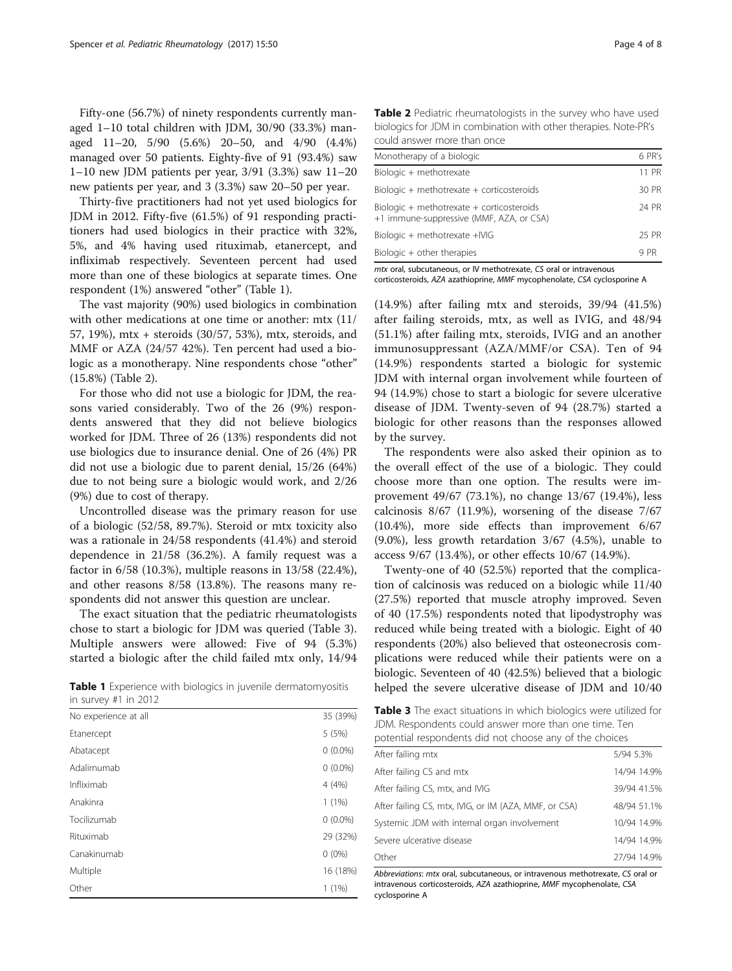Fifty-one (56.7%) of ninety respondents currently managed 1–10 total children with JDM, 30/90 (33.3%) managed 11–20, 5/90 (5.6%) 20–50, and 4/90 (4.4%) managed over 50 patients. Eighty-five of 91 (93.4%) saw 1–10 new JDM patients per year, 3/91 (3.3%) saw 11–20 new patients per year, and 3 (3.3%) saw 20–50 per year.

Thirty-five practitioners had not yet used biologics for JDM in 2012. Fifty-five (61.5%) of 91 responding practitioners had used biologics in their practice with 32%, 5%, and 4% having used rituximab, etanercept, and infliximab respectively. Seventeen percent had used more than one of these biologics at separate times. One respondent (1%) answered "other" (Table 1).

The vast majority (90%) used biologics in combination with other medications at one time or another: mtx (11/ 57, 19%), mtx + steroids (30/57, 53%), mtx, steroids, and MMF or AZA (24/57 42%). Ten percent had used a biologic as a monotherapy. Nine respondents chose "other" (15.8%) (Table 2).

For those who did not use a biologic for JDM, the reasons varied considerably. Two of the 26 (9%) respondents answered that they did not believe biologics worked for JDM. Three of 26 (13%) respondents did not use biologics due to insurance denial. One of 26 (4%) PR did not use a biologic due to parent denial, 15/26 (64%) due to not being sure a biologic would work, and 2/26 (9%) due to cost of therapy.

Uncontrolled disease was the primary reason for use of a biologic (52/58, 89.7%). Steroid or mtx toxicity also was a rationale in 24/58 respondents (41.4%) and steroid dependence in 21/58 (36.2%). A family request was a factor in 6/58 (10.3%), multiple reasons in 13/58 (22.4%), and other reasons 8/58 (13.8%). The reasons many respondents did not answer this question are unclear.

The exact situation that the pediatric rheumatologists chose to start a biologic for JDM was queried (Table 3). Multiple answers were allowed: Five of 94 (5.3%) started a biologic after the child failed mtx only, 14/94

in survey #1 in 2012

| No experience at all | 35 (39%)   |
|----------------------|------------|
| Etanercept           | 5(5%)      |
| Abatacept            | $0(0.0\%)$ |
| Adalimumab           | $0(0.0\%)$ |
| Infliximab           | 4(4%)      |
| Anakinra             | $1(1\%)$   |
| Tocilizumab          | $0(0.0\%)$ |
| Rituximab            | 29 (32%)   |
| Canakinumab          | $0(0\%)$   |
| Multiple             | 16 (18%)   |
| Other                | 1(1%)      |
|                      |            |

Table 2 Pediatric rheumatologists in the survey who have used biologics for JDM in combination with other therapies. Note-PR's could answer more than once

| Monotherapy of a biologic                                                             | 6 PR's |
|---------------------------------------------------------------------------------------|--------|
| Biologic + methotrexate                                                               | 11 PR  |
| Biologic + methotrexate + corticosteroids                                             | 30 PR  |
| Biologic + methotrexate + corticosteroids<br>+1 immune-suppressive (MMF, AZA, or CSA) | 24 PR  |
| Biologic + methotrexate +IVIG                                                         | 25 PR  |
| Biologic + other therapies                                                            | 9 PR   |

mtx oral, subcutaneous, or IV methotrexate, CS oral or intravenous corticosteroids, AZA azathioprine, MMF mycophenolate, CSA cyclosporine A

(14.9%) after failing mtx and steroids, 39/94 (41.5%) after failing steroids, mtx, as well as IVIG, and 48/94 (51.1%) after failing mtx, steroids, IVIG and an another immunosuppressant (AZA/MMF/or CSA). Ten of 94 (14.9%) respondents started a biologic for systemic JDM with internal organ involvement while fourteen of 94 (14.9%) chose to start a biologic for severe ulcerative disease of JDM. Twenty-seven of 94 (28.7%) started a biologic for other reasons than the responses allowed by the survey.

The respondents were also asked their opinion as to the overall effect of the use of a biologic. They could choose more than one option. The results were improvement 49/67 (73.1%), no change 13/67 (19.4%), less calcinosis 8/67 (11.9%), worsening of the disease 7/67 (10.4%), more side effects than improvement 6/67 (9.0%), less growth retardation 3/67 (4.5%), unable to access 9/67 (13.4%), or other effects 10/67 (14.9%).

Twenty-one of 40 (52.5%) reported that the complication of calcinosis was reduced on a biologic while 11/40 (27.5%) reported that muscle atrophy improved. Seven of 40 (17.5%) respondents noted that lipodystrophy was reduced while being treated with a biologic. Eight of 40 respondents (20%) also believed that osteonecrosis complications were reduced while their patients were on a biologic. Seventeen of 40 (42.5%) believed that a biologic Table 1 Experience with biologics in juvenile dermatomyositis helped the severe ulcerative disease of JDM and 10/40

Table 3 The exact situations in which biologics were utilized for JDM. Respondents could answer more than one time. Ten potential respondents did not choose any of the choices

| After failing mtx                                     | 5/94 5.3%   |
|-------------------------------------------------------|-------------|
| After failing CS and mtx                              | 14/94 14.9% |
| After failing CS, mtx, and IVIG                       | 39/94 41.5% |
| After failing CS, mtx, IVIG, or IM (AZA, MMF, or CSA) | 48/94 51.1% |
| Systemic JDM with internal organ involvement          | 10/94 14.9% |
| Severe ulcerative disease                             | 14/94 14.9% |
| Other                                                 | 27/94 14.9% |

Abbreviations: mtx oral, subcutaneous, or intravenous methotrexate, CS oral or intravenous corticosteroids, AZA azathioprine, MMF mycophenolate, CSA cyclosporine A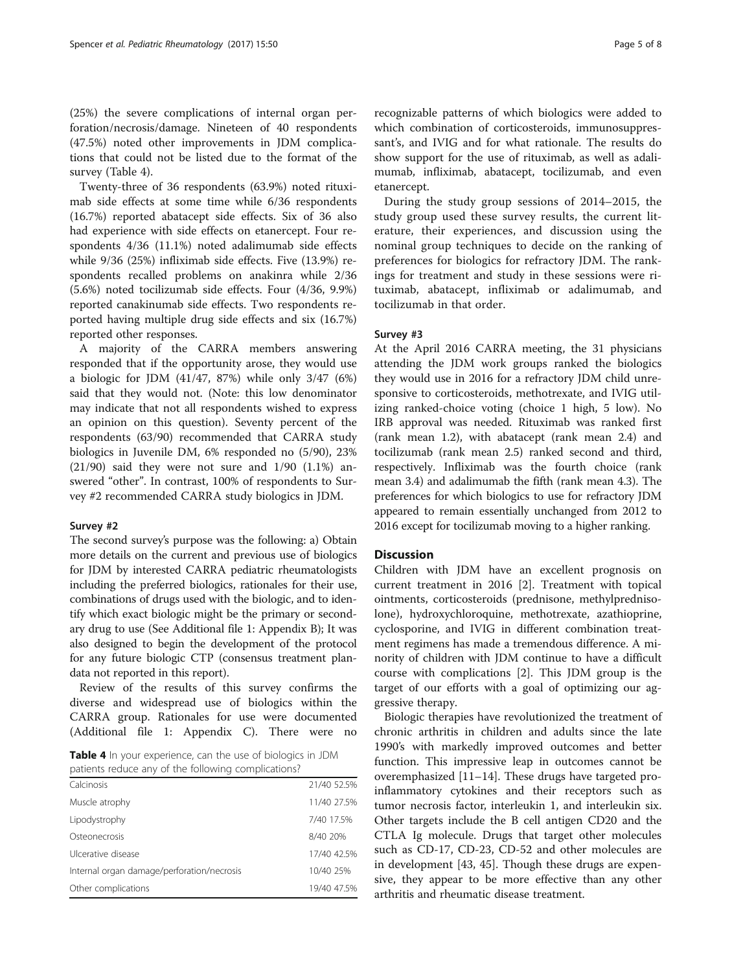(25%) the severe complications of internal organ perforation/necrosis/damage. Nineteen of 40 respondents (47.5%) noted other improvements in JDM complications that could not be listed due to the format of the survey (Table 4).

Twenty-three of 36 respondents (63.9%) noted rituximab side effects at some time while 6/36 respondents (16.7%) reported abatacept side effects. Six of 36 also had experience with side effects on etanercept. Four respondents 4/36 (11.1%) noted adalimumab side effects while 9/36 (25%) infliximab side effects. Five (13.9%) respondents recalled problems on anakinra while 2/36 (5.6%) noted tocilizumab side effects. Four (4/36, 9.9%) reported canakinumab side effects. Two respondents reported having multiple drug side effects and six (16.7%) reported other responses.

A majority of the CARRA members answering responded that if the opportunity arose, they would use a biologic for JDM (41/47, 87%) while only 3/47 (6%) said that they would not. (Note: this low denominator may indicate that not all respondents wished to express an opinion on this question). Seventy percent of the respondents (63/90) recommended that CARRA study biologics in Juvenile DM, 6% responded no (5/90), 23%  $(21/90)$  said they were not sure and  $1/90$   $(1.1\%)$  answered "other". In contrast, 100% of respondents to Survey #2 recommended CARRA study biologics in JDM.

## Survey #2

The second survey's purpose was the following: a) Obtain more details on the current and previous use of biologics for JDM by interested CARRA pediatric rheumatologists including the preferred biologics, rationales for their use, combinations of drugs used with the biologic, and to identify which exact biologic might be the primary or secondary drug to use (See Additional file [1](#page-6-0): Appendix B); It was also designed to begin the development of the protocol for any future biologic CTP (consensus treatment plandata not reported in this report).

Review of the results of this survey confirms the diverse and widespread use of biologics within the CARRA group. Rationales for use were documented (Additional file [1](#page-6-0): Appendix C). There were no

Table 4 In your experience, can the use of biologics in JDM patients reduce any of the following complications?

| Calcinosis                                 | 21/40 52.5% |
|--------------------------------------------|-------------|
| Muscle atrophy                             | 11/40 27.5% |
| Lipodystrophy                              | 7/40 17.5%  |
| Osteonecrosis                              | 8/40 20%    |
| Ulcerative disease                         | 17/40 42.5% |
| Internal organ damage/perforation/necrosis | 10/40 25%   |
| Other complications                        | 19/40 47.5% |
|                                            |             |

recognizable patterns of which biologics were added to which combination of corticosteroids, immunosuppressant's, and IVIG and for what rationale. The results do show support for the use of rituximab, as well as adalimumab, infliximab, abatacept, tocilizumab, and even etanercept.

During the study group sessions of 2014–2015, the study group used these survey results, the current literature, their experiences, and discussion using the nominal group techniques to decide on the ranking of preferences for biologics for refractory JDM. The rankings for treatment and study in these sessions were rituximab, abatacept, infliximab or adalimumab, and tocilizumab in that order.

## Survey #3

At the April 2016 CARRA meeting, the 31 physicians attending the JDM work groups ranked the biologics they would use in 2016 for a refractory JDM child unresponsive to corticosteroids, methotrexate, and IVIG utilizing ranked-choice voting (choice 1 high, 5 low). No IRB approval was needed. Rituximab was ranked first (rank mean 1.2), with abatacept (rank mean 2.4) and tocilizumab (rank mean 2.5) ranked second and third, respectively. Infliximab was the fourth choice (rank mean 3.4) and adalimumab the fifth (rank mean 4.3). The preferences for which biologics to use for refractory JDM appeared to remain essentially unchanged from 2012 to 2016 except for tocilizumab moving to a higher ranking.

## Discussion

Children with JDM have an excellent prognosis on current treatment in 2016 [\[2\]](#page-6-0). Treatment with topical ointments, corticosteroids (prednisone, methylprednisolone), hydroxychloroquine, methotrexate, azathioprine, cyclosporine, and IVIG in different combination treatment regimens has made a tremendous difference. A minority of children with JDM continue to have a difficult course with complications [[2\]](#page-6-0). This JDM group is the target of our efforts with a goal of optimizing our aggressive therapy.

Biologic therapies have revolutionized the treatment of chronic arthritis in children and adults since the late 1990's with markedly improved outcomes and better function. This impressive leap in outcomes cannot be overemphasized [\[11](#page-7-0)–[14](#page-7-0)]. These drugs have targeted proinflammatory cytokines and their receptors such as tumor necrosis factor, interleukin 1, and interleukin six. Other targets include the B cell antigen CD20 and the CTLA Ig molecule. Drugs that target other molecules such as CD-17, CD-23, CD-52 and other molecules are in development [\[43, 45](#page-7-0)]. Though these drugs are expensive, they appear to be more effective than any other arthritis and rheumatic disease treatment.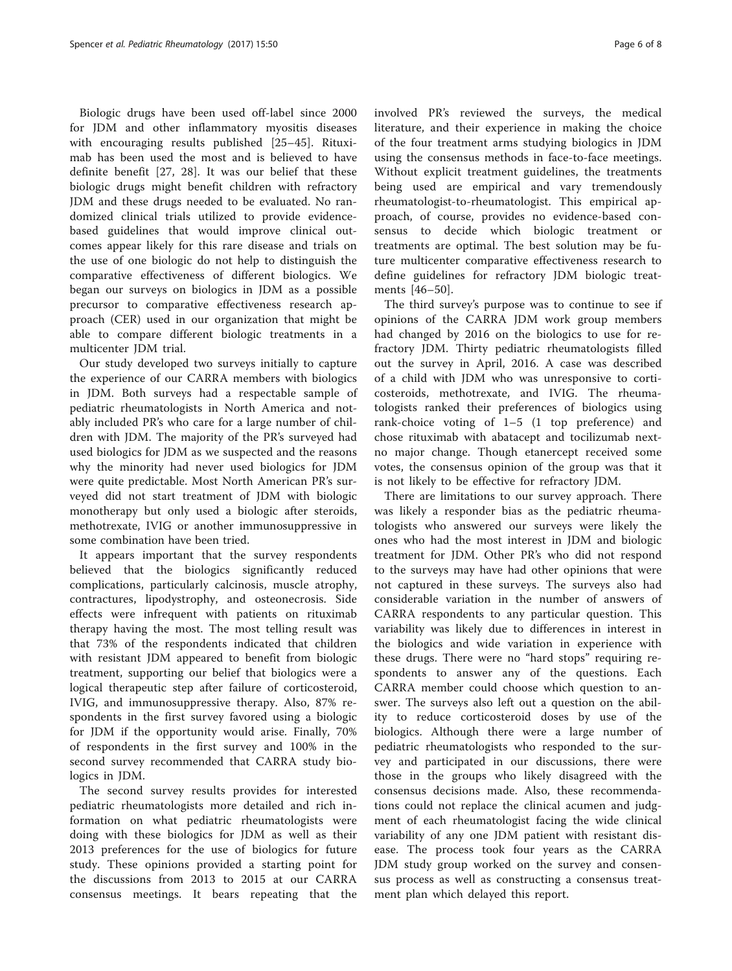Biologic drugs have been used off-label since 2000 for JDM and other inflammatory myositis diseases with encouraging results published [[25](#page-7-0)–[45\]](#page-7-0). Rituximab has been used the most and is believed to have definite benefit [[27](#page-7-0), [28](#page-7-0)]. It was our belief that these biologic drugs might benefit children with refractory JDM and these drugs needed to be evaluated. No randomized clinical trials utilized to provide evidencebased guidelines that would improve clinical outcomes appear likely for this rare disease and trials on the use of one biologic do not help to distinguish the comparative effectiveness of different biologics. We began our surveys on biologics in JDM as a possible precursor to comparative effectiveness research approach (CER) used in our organization that might be able to compare different biologic treatments in a multicenter JDM trial.

Our study developed two surveys initially to capture the experience of our CARRA members with biologics in JDM. Both surveys had a respectable sample of pediatric rheumatologists in North America and notably included PR's who care for a large number of children with JDM. The majority of the PR's surveyed had used biologics for JDM as we suspected and the reasons why the minority had never used biologics for JDM were quite predictable. Most North American PR's surveyed did not start treatment of JDM with biologic monotherapy but only used a biologic after steroids, methotrexate, IVIG or another immunosuppressive in some combination have been tried.

It appears important that the survey respondents believed that the biologics significantly reduced complications, particularly calcinosis, muscle atrophy, contractures, lipodystrophy, and osteonecrosis. Side effects were infrequent with patients on rituximab therapy having the most. The most telling result was that 73% of the respondents indicated that children with resistant JDM appeared to benefit from biologic treatment, supporting our belief that biologics were a logical therapeutic step after failure of corticosteroid, IVIG, and immunosuppressive therapy. Also, 87% respondents in the first survey favored using a biologic for JDM if the opportunity would arise. Finally, 70% of respondents in the first survey and 100% in the second survey recommended that CARRA study biologics in JDM.

The second survey results provides for interested pediatric rheumatologists more detailed and rich information on what pediatric rheumatologists were doing with these biologics for JDM as well as their 2013 preferences for the use of biologics for future study. These opinions provided a starting point for the discussions from 2013 to 2015 at our CARRA consensus meetings. It bears repeating that the involved PR's reviewed the surveys, the medical literature, and their experience in making the choice of the four treatment arms studying biologics in JDM using the consensus methods in face-to-face meetings. Without explicit treatment guidelines, the treatments being used are empirical and vary tremendously rheumatologist-to-rheumatologist. This empirical approach, of course, provides no evidence-based consensus to decide which biologic treatment or treatments are optimal. The best solution may be future multicenter comparative effectiveness research to define guidelines for refractory JDM biologic treatments [[46](#page-7-0)–[50\]](#page-7-0).

The third survey's purpose was to continue to see if opinions of the CARRA JDM work group members had changed by 2016 on the biologics to use for refractory JDM. Thirty pediatric rheumatologists filled out the survey in April, 2016. A case was described of a child with JDM who was unresponsive to corticosteroids, methotrexate, and IVIG. The rheumatologists ranked their preferences of biologics using rank-choice voting of 1–5 (1 top preference) and chose rituximab with abatacept and tocilizumab nextno major change. Though etanercept received some votes, the consensus opinion of the group was that it is not likely to be effective for refractory JDM.

There are limitations to our survey approach. There was likely a responder bias as the pediatric rheumatologists who answered our surveys were likely the ones who had the most interest in JDM and biologic treatment for JDM. Other PR's who did not respond to the surveys may have had other opinions that were not captured in these surveys. The surveys also had considerable variation in the number of answers of CARRA respondents to any particular question. This variability was likely due to differences in interest in the biologics and wide variation in experience with these drugs. There were no "hard stops" requiring respondents to answer any of the questions. Each CARRA member could choose which question to answer. The surveys also left out a question on the ability to reduce corticosteroid doses by use of the biologics. Although there were a large number of pediatric rheumatologists who responded to the survey and participated in our discussions, there were those in the groups who likely disagreed with the consensus decisions made. Also, these recommendations could not replace the clinical acumen and judgment of each rheumatologist facing the wide clinical variability of any one JDM patient with resistant disease. The process took four years as the CARRA JDM study group worked on the survey and consensus process as well as constructing a consensus treatment plan which delayed this report.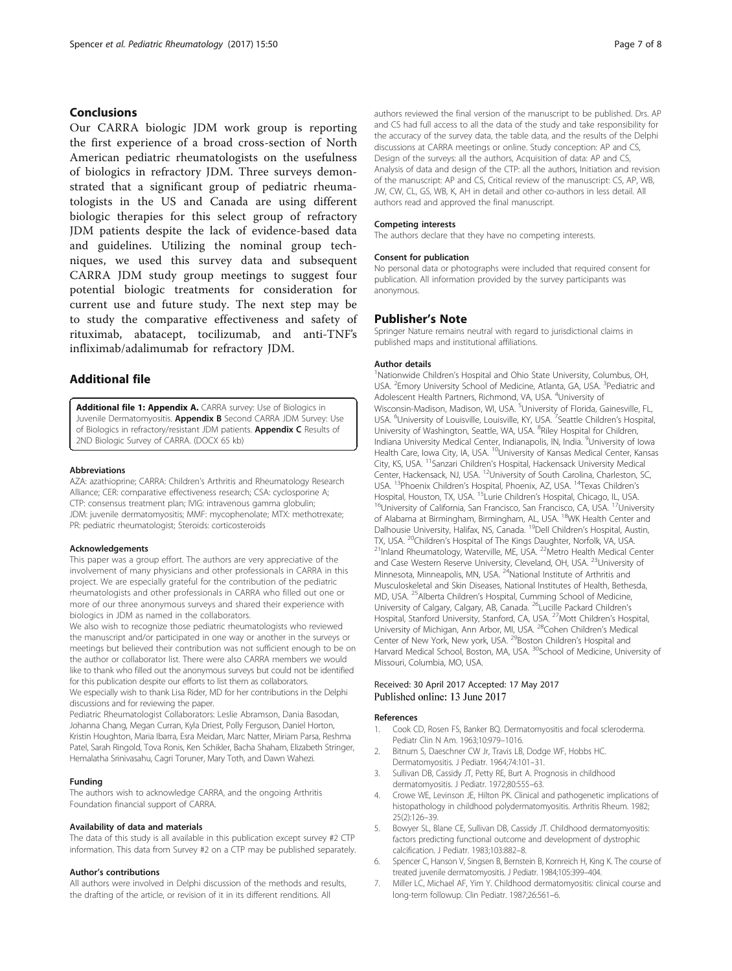## <span id="page-6-0"></span>**Conclusions**

Our CARRA biologic JDM work group is reporting the first experience of a broad cross-section of North American pediatric rheumatologists on the usefulness of biologics in refractory JDM. Three surveys demonstrated that a significant group of pediatric rheumatologists in the US and Canada are using different biologic therapies for this select group of refractory JDM patients despite the lack of evidence-based data and guidelines. Utilizing the nominal group techniques, we used this survey data and subsequent CARRA JDM study group meetings to suggest four potential biologic treatments for consideration for current use and future study. The next step may be to study the comparative effectiveness and safety of rituximab, abatacept, tocilizumab, and anti-TNF's infliximab/adalimumab for refractory JDM.

## Additional file

[Additional file 1: Appendix A.](dx.doi.org/10.1186/s12969-017-0174-0) CARRA survey: Use of Biologics in Juvenile Dermatomyositis. Appendix B Second CARRA JDM Survey: Use of Biologics in refractory/resistant JDM patients. Appendix C Results of 2ND Biologic Survey of CARRA. (DOCX 65 kb)

#### Abbreviations

AZA: azathioprine; CARRA: Children's Arthritis and Rheumatology Research Alliance; CER: comparative effectiveness research; CSA: cyclosporine A; CTP: consensus treatment plan; IVIG: intravenous gamma globulin; JDM: juvenile dermatomyositis; MMF: mycophenolate; MTX: methotrexate; PR: pediatric rheumatologist; Steroids: corticosteroids

#### Acknowledgements

This paper was a group effort. The authors are very appreciative of the involvement of many physicians and other professionals in CARRA in this project. We are especially grateful for the contribution of the pediatric rheumatologists and other professionals in CARRA who filled out one or more of our three anonymous surveys and shared their experience with biologics in JDM as named in the collaborators.

We also wish to recognize those pediatric rheumatologists who reviewed the manuscript and/or participated in one way or another in the surveys or meetings but believed their contribution was not sufficient enough to be on the author or collaborator list. There were also CARRA members we would like to thank who filled out the anonymous surveys but could not be identified for this publication despite our efforts to list them as collaborators. We especially wish to thank Lisa Rider, MD for her contributions in the Delphi discussions and for reviewing the paper.

Pediatric Rheumatologist Collaborators: Leslie Abramson, Dania Basodan, Johanna Chang, Megan Curran, Kyla Driest, Polly Ferguson, Daniel Horton, Kristin Houghton, Maria Ibarra, Esra Meidan, Marc Natter, Miriam Parsa, Reshma Patel, Sarah Ringold, Tova Ronis, Ken Schikler, Bacha Shaham, Elizabeth Stringer, Hemalatha Srinivasahu, Cagri Toruner, Mary Toth, and Dawn Wahezi.

#### Funding

The authors wish to acknowledge CARRA, and the ongoing Arthritis Foundation financial support of CARRA.

#### Availability of data and materials

The data of this study is all available in this publication except survey #2 CTP information. This data from Survey #2 on a CTP may be published separately.

#### Author's contributions

All authors were involved in Delphi discussion of the methods and results, the drafting of the article, or revision of it in its different renditions. All

authors reviewed the final version of the manuscript to be published. Drs. AP and CS had full access to all the data of the study and take responsibility for the accuracy of the survey data, the table data, and the results of the Delphi discussions at CARRA meetings or online. Study conception: AP and CS, Design of the surveys: all the authors, Acquisition of data: AP and CS, Analysis of data and design of the CTP: all the authors, Initiation and revision of the manuscript: AP and CS, Critical review of the manuscript: CS, AP, WB, JW, CW, CL, GS, WB, K, AH in detail and other co-authors in less detail. All authors read and approved the final manuscript.

#### Competing interests

The authors declare that they have no competing interests.

#### Consent for publication

No personal data or photographs were included that required consent for publication. All information provided by the survey participants was anonymous.

## Publisher's Note

Springer Nature remains neutral with regard to jurisdictional claims in published maps and institutional affiliations.

#### Author details

<sup>1</sup>Nationwide Children's Hospital and Ohio State University, Columbus, OH USA. <sup>2</sup> Emory University School of Medicine, Atlanta, GA, USA. <sup>3</sup> Pediatric and Adolescent Health Partners, Richmond, VA, USA. <sup>4</sup>University of Wisconsin-Madison, Madison, WI, USA. <sup>5</sup>University of Florida, Gainesville, FL, USA. <sup>6</sup>University of Louisville, Louisville, KY, USA. <sup>7</sup>Seattle Children's Hospital, University of Washington, Seattle, WA, USA. <sup>8</sup>Riley Hospital for Children, Indiana University Medical Center, Indianapolis, IN, India. <sup>9</sup>University of Iowa Health Care, Iowa City, IA, USA. <sup>10</sup>University of Kansas Medical Center, Kansas City, KS, USA. 11Sanzari Children's Hospital, Hackensack University Medical Center, Hackensack, NJ, USA. <sup>12</sup>University of South Carolina, Charleston, SC, USA. <sup>13</sup>Phoenix Children's Hospital, Phoenix, AZ, USA. <sup>14</sup>Texas Children's<br>Hospital, Houston, TX, USA. <sup>15</sup>Lurie Children's Hospital, Chicago, IL, USA. <sup>16</sup>University of California, San Francisco, San Francisco, CA, USA. <sup>17</sup>University of Alabama at Birmingham, Birmingham, AL, USA. <sup>18</sup>WK Health Center and Dalhousie University, Halifax, NS, Canada. <sup>19</sup>Dell Children's Hospital, Austin, TX, USA. <sup>20</sup>Children's Hospital of The Kings Daughter, Norfolk, VA, USA.<br><sup>21</sup>Inland Rheumatology, Waterville, ME, USA. <sup>22</sup>Metro Health Medical Center and Case Western Reserve University, Cleveland, OH, USA. <sup>23</sup>University of Minnesota, Minneapolis, MN, USA. <sup>24</sup>National Institute of Arthritis and Musculoskeletal and Skin Diseases, National Institutes of Health, Bethesda, MD, USA. 25Alberta Children's Hospital, Cumming School of Medicine, University of Calgary, Calgary, AB, Canada. <sup>26</sup>Lucille Packard Children's Hospital, Stanford University, Stanford, CA, USA. 27Mott Children's Hospital, University of Michigan, Ann Arbor, MI, USA. <sup>28</sup>Cohen Children's Medical Center of New York, New york, USA. <sup>29</sup>Boston Children's Hospital and Harvard Medical School, Boston, MA, USA. <sup>30</sup>School of Medicine, University of Missouri, Columbia, MO, USA.

## Received: 30 April 2017 Accepted: 17 May 2017 Published online: 13 June 2017

#### References

- 1. Cook CD, Rosen FS, Banker BQ. Dermatomyositis and focal scleroderma. Pediatr Clin N Am. 1963;10:979–1016.
- 2. Bitnum S, Daeschner CW Jr, Travis LB, Dodge WF, Hobbs HC. Dermatomyositis. J Pediatr. 1964;74:101–31.
- 3. Sullivan DB, Cassidy JT, Petty RE, Burt A. Prognosis in childhood dermatomyositis. J Pediatr. 1972;80:555–63.
- 4. Crowe WE, Levinson JE, Hilton PK. Clinical and pathogenetic implications of histopathology in childhood polydermatomyositis. Arthritis Rheum. 1982; 25(2):126–39.
- 5. Bowyer SL, Blane CE, Sullivan DB, Cassidy JT. Childhood dermatomyositis: factors predicting functional outcome and development of dystrophic calcification. J Pediatr. 1983;103:882–8.
- 6. Spencer C, Hanson V, Singsen B, Bernstein B, Kornreich H, King K. The course of treated juvenile dermatomyositis. J Pediatr. 1984;105:399–404.
- 7. Miller LC, Michael AF, Yim Y. Childhood dermatomyositis: clinical course and long-term followup. Clin Pediatr. 1987;26:561–6.